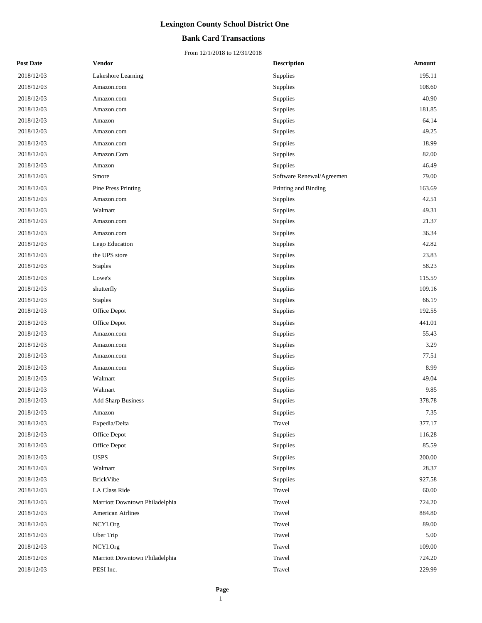### **Bank Card Transactions**

| <b>Post Date</b> | <b>Vendor</b>                  | <b>Description</b>        | <b>Amount</b> |
|------------------|--------------------------------|---------------------------|---------------|
| 2018/12/03       | Lakeshore Learning             | Supplies                  | 195.11        |
| 2018/12/03       | Amazon.com                     | Supplies                  | 108.60        |
| 2018/12/03       | Amazon.com                     | Supplies                  | 40.90         |
| 2018/12/03       | Amazon.com                     | Supplies                  | 181.85        |
| 2018/12/03       | Amazon                         | Supplies                  | 64.14         |
| 2018/12/03       | Amazon.com                     | Supplies                  | 49.25         |
| 2018/12/03       | Amazon.com                     | Supplies                  | 18.99         |
| 2018/12/03       | Amazon.Com                     | Supplies                  | 82.00         |
| 2018/12/03       | Amazon                         | Supplies                  | 46.49         |
| 2018/12/03       | Smore                          | Software Renewal/Agreemen | 79.00         |
| 2018/12/03       | Pine Press Printing            | Printing and Binding      | 163.69        |
| 2018/12/03       | Amazon.com                     | Supplies                  | 42.51         |
| 2018/12/03       | Walmart                        | Supplies                  | 49.31         |
| 2018/12/03       | Amazon.com                     | Supplies                  | 21.37         |
| 2018/12/03       | Amazon.com                     | Supplies                  | 36.34         |
| 2018/12/03       | Lego Education                 | Supplies                  | 42.82         |
| 2018/12/03       | the UPS store                  | Supplies                  | 23.83         |
| 2018/12/03       | <b>Staples</b>                 | Supplies                  | 58.23         |
| 2018/12/03       | Lowe's                         | Supplies                  | 115.59        |
| 2018/12/03       | shutterfly                     | Supplies                  | 109.16        |
| 2018/12/03       | <b>Staples</b>                 | Supplies                  | 66.19         |
| 2018/12/03       | Office Depot                   | Supplies                  | 192.55        |
| 2018/12/03       | Office Depot                   | Supplies                  | 441.01        |
| 2018/12/03       | Amazon.com                     | Supplies                  | 55.43         |
| 2018/12/03       | Amazon.com                     | Supplies                  | 3.29          |
| 2018/12/03       | Amazon.com                     | Supplies                  | 77.51         |
| 2018/12/03       | Amazon.com                     | Supplies                  | 8.99          |
| 2018/12/03       | Walmart                        | Supplies                  | 49.04         |
| 2018/12/03       | Walmart                        | Supplies                  | 9.85          |
| 2018/12/03       | <b>Add Sharp Business</b>      | Supplies                  | 378.78        |
| 2018/12/03       | Amazon                         | Supplies                  | 7.35          |
| 2018/12/03       | Expedia/Delta                  | Travel                    | 377.17        |
| 2018/12/03       | Office Depot                   | Supplies                  | 116.28        |
| 2018/12/03       | Office Depot                   | Supplies                  | 85.59         |
| 2018/12/03       | <b>USPS</b>                    | Supplies                  | 200.00        |
| 2018/12/03       | Walmart                        | Supplies                  | 28.37         |
| 2018/12/03       | <b>BrickVibe</b>               | Supplies                  | 927.58        |
| 2018/12/03       | LA Class Ride                  | Travel                    | 60.00         |
| 2018/12/03       | Marriott Downtown Philadelphia | Travel                    | 724.20        |
| 2018/12/03       | <b>American Airlines</b>       | Travel                    | 884.80        |
| 2018/12/03       | NCYI.Org                       | Travel                    | 89.00         |
| 2018/12/03       | Uber Trip                      | Travel                    | $5.00\,$      |
| 2018/12/03       | NCYI.Org                       | Travel                    | 109.00        |
| 2018/12/03       | Marriott Downtown Philadelphia | Travel                    | 724.20        |
| 2018/12/03       | PESI Inc.                      | Travel                    | 229.99        |
|                  |                                |                           |               |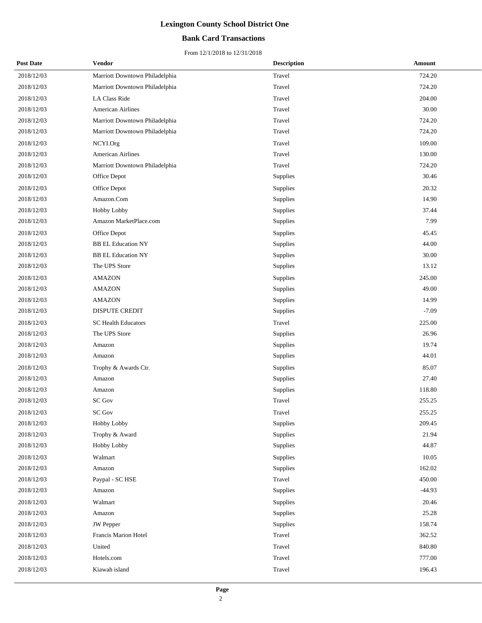## **Bank Card Transactions**

| <b>Post Date</b> | <b>Vendor</b>                  | <b>Description</b> | <b>Amount</b> |
|------------------|--------------------------------|--------------------|---------------|
| 2018/12/03       | Marriott Downtown Philadelphia | Travel             | 724.20        |
| 2018/12/03       | Marriott Downtown Philadelphia | Travel             | 724.20        |
| 2018/12/03       | LA Class Ride                  | Travel             | 204.00        |
| 2018/12/03       | American Airlines              | Travel             | 30.00         |
| 2018/12/03       | Marriott Downtown Philadelphia | Travel             | 724.20        |
| 2018/12/03       | Marriott Downtown Philadelphia | Travel             | 724.20        |
| 2018/12/03       | NCYI.Org                       | Travel             | 109.00        |
| 2018/12/03       | <b>American Airlines</b>       | Travel             | 130.00        |
| 2018/12/03       | Marriott Downtown Philadelphia | Travel             | 724.20        |
| 2018/12/03       | Office Depot                   | Supplies           | 30.46         |
| 2018/12/03       | Office Depot                   | Supplies           | 20.32         |
| 2018/12/03       | Amazon.Com                     | Supplies           | 14.90         |
| 2018/12/03       | Hobby Lobby                    | Supplies           | 37.44         |
| 2018/12/03       | Amazon MarketPlace.com         | Supplies           | 7.99          |
| 2018/12/03       | Office Depot                   | Supplies           | 45.45         |
| 2018/12/03       | <b>BB EL Education NY</b>      | Supplies           | 44.00         |
| 2018/12/03       | <b>BB EL Education NY</b>      | Supplies           | 30.00         |
| 2018/12/03       | The UPS Store                  | Supplies           | 13.12         |
| 2018/12/03       | <b>AMAZON</b>                  | Supplies           | 245.00        |
| 2018/12/03       | <b>AMAZON</b>                  | Supplies           | 49.00         |
| 2018/12/03       | <b>AMAZON</b>                  | Supplies           | 14.99         |
| 2018/12/03       | <b>DISPUTE CREDIT</b>          | Supplies           | $-7.09$       |
| 2018/12/03       | <b>SC Health Educators</b>     | Travel             | 225.00        |
| 2018/12/03       | The UPS Store                  | Supplies           | 26.96         |
| 2018/12/03       | Amazon                         | Supplies           | 19.74         |
| 2018/12/03       | Amazon                         | Supplies           | 44.01         |
| 2018/12/03       | Trophy & Awards Ctr.           | Supplies           | 85.07         |
| 2018/12/03       | Amazon                         | Supplies           | 27.40         |
| 2018/12/03       | Amazon                         | Supplies           | 118.80        |
| 2018/12/03       | <b>SC Gov</b>                  | Travel             | 255.25        |
| 2018/12/03       | <b>SC Gov</b>                  | Travel             | 255.25        |
| 2018/12/03       | Hobby Lobby                    | Supplies           | 209.45        |
| 2018/12/03       | Trophy & Award                 | Supplies           | 21.94         |
| 2018/12/03       | Hobby Lobby                    | Supplies           | 44.87         |
| 2018/12/03       | Walmart                        | Supplies           | 10.05         |
| 2018/12/03       | Amazon                         | Supplies           | 162.02        |
| 2018/12/03       | Paypal - SC HSE                | Travel             | 450.00        |
| 2018/12/03       | Amazon                         | Supplies           | $-44.93$      |
| 2018/12/03       | Walmart                        | Supplies           | 20.46         |
| 2018/12/03       | Amazon                         | Supplies           | 25.28         |
| 2018/12/03       | <b>JW</b> Pepper               | Supplies           | 158.74        |
| 2018/12/03       | Francis Marion Hotel           | Travel             | 362.52        |
| 2018/12/03       | United                         | Travel             | 840.80        |
| 2018/12/03       | Hotels.com                     | Travel             | 777.00        |
| 2018/12/03       | Kiawah island                  | Travel             | 196.43        |
|                  |                                |                    |               |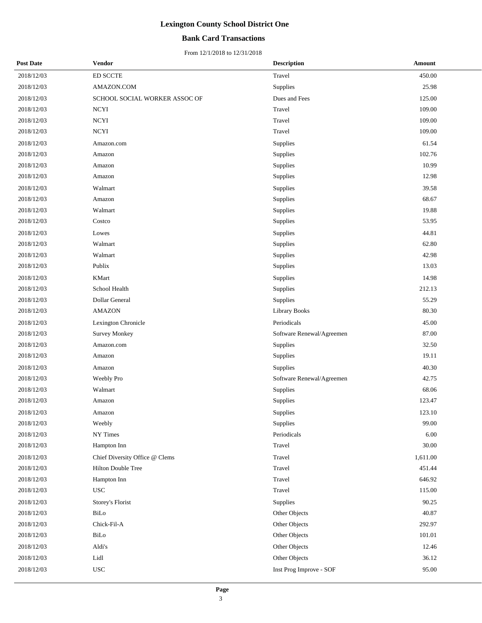## **Bank Card Transactions**

| <b>Post Date</b> | <b>Vendor</b>                  | <b>Description</b>        | Amount    |
|------------------|--------------------------------|---------------------------|-----------|
| 2018/12/03       | ED SCCTE                       | Travel                    | 450.00    |
| 2018/12/03       | AMAZON.COM                     | Supplies                  | 25.98     |
| 2018/12/03       | SCHOOL SOCIAL WORKER ASSOC OF  | Dues and Fees             | 125.00    |
| 2018/12/03       | <b>NCYI</b>                    | Travel                    | 109.00    |
| 2018/12/03       | <b>NCYI</b>                    | Travel                    | 109.00    |
| 2018/12/03       | <b>NCYI</b>                    | Travel                    | 109.00    |
| 2018/12/03       | Amazon.com                     | Supplies                  | 61.54     |
| 2018/12/03       | Amazon                         | Supplies                  | 102.76    |
| 2018/12/03       | Amazon                         | Supplies                  | 10.99     |
| 2018/12/03       | Amazon                         | Supplies                  | 12.98     |
| 2018/12/03       | Walmart                        | Supplies                  | 39.58     |
| 2018/12/03       | Amazon                         | Supplies                  | 68.67     |
| 2018/12/03       | Walmart                        | Supplies                  | 19.88     |
| 2018/12/03       | Costco                         | Supplies                  | 53.95     |
| 2018/12/03       | Lowes                          | Supplies                  | 44.81     |
| 2018/12/03       | Walmart                        | Supplies                  | 62.80     |
| 2018/12/03       | Walmart                        | Supplies                  | 42.98     |
| 2018/12/03       | Publix                         | Supplies                  | 13.03     |
| 2018/12/03       | KMart                          | Supplies                  | 14.98     |
| 2018/12/03       | School Health                  | Supplies                  | 212.13    |
| 2018/12/03       | Dollar General                 | Supplies                  | 55.29     |
| 2018/12/03       | <b>AMAZON</b>                  | <b>Library Books</b>      | 80.30     |
| 2018/12/03       | Lexington Chronicle            | Periodicals               | 45.00     |
| 2018/12/03       | <b>Survey Monkey</b>           | Software Renewal/Agreemen | 87.00     |
| 2018/12/03       | Amazon.com                     | Supplies                  | 32.50     |
| 2018/12/03       | Amazon                         | Supplies                  | 19.11     |
| 2018/12/03       | Amazon                         | Supplies                  | 40.30     |
| 2018/12/03       | Weebly Pro                     | Software Renewal/Agreemen | 42.75     |
| 2018/12/03       | Walmart                        | Supplies                  | 68.06     |
| 2018/12/03       | Amazon                         | Supplies                  | 123.47    |
| 2018/12/03       | Amazon                         | Supplies                  | 123.10    |
| 2018/12/03       | Weebly                         | Supplies                  | 99.00     |
| 2018/12/03       | NY Times                       | Periodicals               | 6.00      |
| 2018/12/03       | Hampton Inn                    | Travel                    | $30.00\,$ |
| 2018/12/03       | Chief Diversity Office @ Clems | Travel                    | 1,611.00  |
| 2018/12/03       | Hilton Double Tree             | Travel                    | 451.44    |
| 2018/12/03       | Hampton Inn                    | Travel                    | 646.92    |
| 2018/12/03       | <b>USC</b>                     | Travel                    | 115.00    |
| 2018/12/03       | Storey's Florist               | Supplies                  | 90.25     |
| 2018/12/03       | BiLo                           | Other Objects             | 40.87     |
| 2018/12/03       | Chick-Fil-A                    | Other Objects             | 292.97    |
| 2018/12/03       | BiLo                           | Other Objects             | 101.01    |
| 2018/12/03       | Aldi's                         | Other Objects             | 12.46     |
| 2018/12/03       | Lidl                           | Other Objects             | 36.12     |
| 2018/12/03       | <b>USC</b>                     | Inst Prog Improve - SOF   | 95.00     |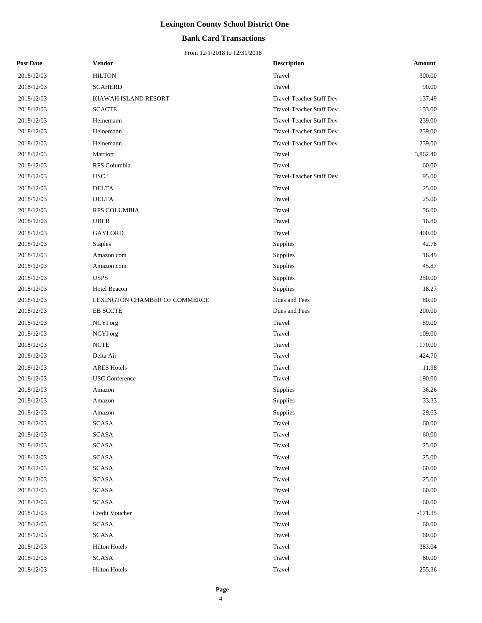## **Bank Card Transactions**

| <b>Post Date</b> | <b>Vendor</b>                 | <b>Description</b>              | Amount    |
|------------------|-------------------------------|---------------------------------|-----------|
| 2018/12/03       | <b>HILTON</b>                 | Travel                          | 300.00    |
| 2018/12/03       | <b>SCAHERD</b>                | Travel                          | 90.00     |
| 2018/12/03       | KIAWAH ISLAND RESORT          | Travel-Teacher Staff Dev        | 137.49    |
| 2018/12/03       | <b>SCACTE</b>                 | Travel-Teacher Staff Dev        | 153.00    |
| 2018/12/03       | Heinemann                     | Travel-Teacher Staff Dev        | 239.00    |
| 2018/12/03       | Heinemann                     | Travel-Teacher Staff Dev        | 239.00    |
| 2018/12/03       | Heinemann                     | Travel-Teacher Staff Dev        | 239.00    |
| 2018/12/03       | Marriott                      | Travel                          | 3,862.40  |
| 2018/12/03       | RPS Columbia                  | Travel                          | 60.00     |
| 2018/12/03       | USC'                          | <b>Travel-Teacher Staff Dev</b> | 95.00     |
| 2018/12/03       | <b>DELTA</b>                  | Travel                          | 25.00     |
| 2018/12/03       | <b>DELTA</b>                  | Travel                          | 25.00     |
| 2018/12/03       | RPS COLUMBIA                  | Travel                          | 56.00     |
| 2018/12/03       | <b>UBER</b>                   | Travel                          | 16.80     |
| 2018/12/03       | GAYLORD                       | Travel                          | 400.00    |
| 2018/12/03       | <b>Staples</b>                | Supplies                        | 42.78     |
| 2018/12/03       | Amazon.com                    | Supplies                        | 16.49     |
| 2018/12/03       | Amazon.com                    | Supplies                        | 45.87     |
| 2018/12/03       | <b>USPS</b>                   | Supplies                        | 250.00    |
| 2018/12/03       | Hotel Beacon                  | Supplies                        | 18.27     |
| 2018/12/03       | LEXINGTON CHAMBER OF COMMERCE | Dues and Fees                   | 80.00     |
| 2018/12/03       | <b>EB SCCTE</b>               | Dues and Fees                   | 200.00    |
| 2018/12/03       | NCYI org                      | Travel                          | 89.00     |
| 2018/12/03       | NCYI org                      | Travel                          | 109.00    |
| 2018/12/03       | $\ensuremath{\text{NCTE}}$    | Travel                          | 170.00    |
| 2018/12/03       | Delta Air                     | Travel                          | 424.70    |
| 2018/12/03       | <b>ARES Hotels</b>            | Travel                          | 11.98     |
| 2018/12/03       | <b>USC</b> Conference         | Travel                          | 190.00    |
| 2018/12/03       | Amazon                        | Supplies                        | 36.26     |
| 2018/12/03       | Amazon                        | Supplies                        | 33.33     |
| 2018/12/03       | Amazon                        | Supplies                        | 29.63     |
| 2018/12/03       | <b>SCASA</b>                  | Travel                          | 60.00     |
| 2018/12/03       | <b>SCASA</b>                  | Travel                          | 60.00     |
| 2018/12/03       | SCASA                         | Travel                          | 25.00     |
| 2018/12/03       | <b>SCASA</b>                  | Travel                          | 25.00     |
| 2018/12/03       | <b>SCASA</b>                  | Travel                          | 60.00     |
| 2018/12/03       | <b>SCASA</b>                  | Travel                          | 25.00     |
| 2018/12/03       | <b>SCASA</b>                  | Travel                          | 60.00     |
| 2018/12/03       | SCASA                         | Travel                          | 60.00     |
| 2018/12/03       | Credit Voucher                | Travel                          | $-171.35$ |
| 2018/12/03       | <b>SCASA</b>                  | Travel                          | 60.00     |
| 2018/12/03       | SCASA                         | Travel                          | 60.00     |
| 2018/12/03       | <b>Hilton Hotels</b>          | Travel                          | 383.04    |
| 2018/12/03       | <b>SCASA</b>                  | Travel                          | 60.00     |
| 2018/12/03       | <b>Hilton Hotels</b>          | Travel                          | 255.36    |
|                  |                               |                                 |           |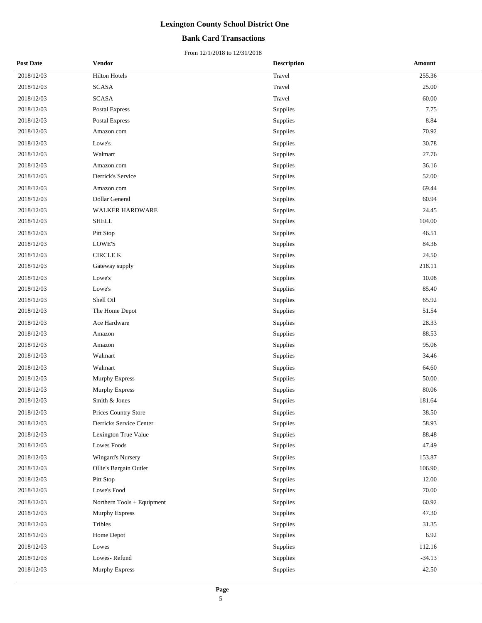## **Bank Card Transactions**

| <b>Post Date</b> | <b>Vendor</b>              | <b>Description</b> | Amount   |
|------------------|----------------------------|--------------------|----------|
| 2018/12/03       | <b>Hilton Hotels</b>       | Travel             | 255.36   |
| 2018/12/03       | <b>SCASA</b>               | Travel             | 25.00    |
| 2018/12/03       | <b>SCASA</b>               | Travel             | 60.00    |
| 2018/12/03       | <b>Postal Express</b>      | Supplies           | 7.75     |
| 2018/12/03       | <b>Postal Express</b>      | Supplies           | 8.84     |
| 2018/12/03       | Amazon.com                 | Supplies           | 70.92    |
| 2018/12/03       | Lowe's                     | Supplies           | 30.78    |
| 2018/12/03       | Walmart                    | Supplies           | 27.76    |
| 2018/12/03       | Amazon.com                 | Supplies           | 36.16    |
| 2018/12/03       | Derrick's Service          | Supplies           | 52.00    |
| 2018/12/03       | Amazon.com                 | Supplies           | 69.44    |
| 2018/12/03       | Dollar General             | Supplies           | 60.94    |
| 2018/12/03       | <b>WALKER HARDWARE</b>     | Supplies           | 24.45    |
| 2018/12/03       | <b>SHELL</b>               | Supplies           | 104.00   |
| 2018/12/03       | Pitt Stop                  | Supplies           | 46.51    |
| 2018/12/03       | <b>LOWE'S</b>              | Supplies           | 84.36    |
| 2018/12/03       | <b>CIRCLE K</b>            | Supplies           | 24.50    |
| 2018/12/03       | Gateway supply             | Supplies           | 218.11   |
| 2018/12/03       | Lowe's                     | Supplies           | 10.08    |
| 2018/12/03       | Lowe's                     | Supplies           | 85.40    |
| 2018/12/03       | Shell Oil                  | Supplies           | 65.92    |
| 2018/12/03       | The Home Depot             | Supplies           | 51.54    |
| 2018/12/03       | Ace Hardware               | Supplies           | 28.33    |
| 2018/12/03       | Amazon                     | Supplies           | 88.53    |
| 2018/12/03       | Amazon                     | Supplies           | 95.06    |
| 2018/12/03       | Walmart                    | Supplies           | 34.46    |
| 2018/12/03       | Walmart                    | Supplies           | 64.60    |
| 2018/12/03       | <b>Murphy Express</b>      | Supplies           | 50.00    |
| 2018/12/03       | <b>Murphy Express</b>      | Supplies           | 80.06    |
| 2018/12/03       | Smith & Jones              | Supplies           | 181.64   |
| 2018/12/03       | Prices Country Store       | Supplies           | 38.50    |
| 2018/12/03       | Derricks Service Center    | Supplies           | 58.93    |
| 2018/12/03       | Lexington True Value       | Supplies           | 88.48    |
| 2018/12/03       | Lowes Foods                | Supplies           | 47.49    |
| 2018/12/03       | Wingard's Nursery          | Supplies           | 153.87   |
| 2018/12/03       | Ollie's Bargain Outlet     | Supplies           | 106.90   |
| 2018/12/03       | Pitt Stop                  | Supplies           | 12.00    |
| 2018/12/03       | Lowe's Food                | Supplies           | 70.00    |
| 2018/12/03       | Northern Tools + Equipment | Supplies           | 60.92    |
| 2018/12/03       | Murphy Express             | Supplies           | 47.30    |
| 2018/12/03       | Tribles                    | Supplies           | 31.35    |
| 2018/12/03       | Home Depot                 | Supplies           | 6.92     |
| 2018/12/03       | Lowes                      | Supplies           | 112.16   |
| 2018/12/03       | Lowes-Refund               | Supplies           | $-34.13$ |
| 2018/12/03       | <b>Murphy Express</b>      | Supplies           | 42.50    |
|                  |                            |                    |          |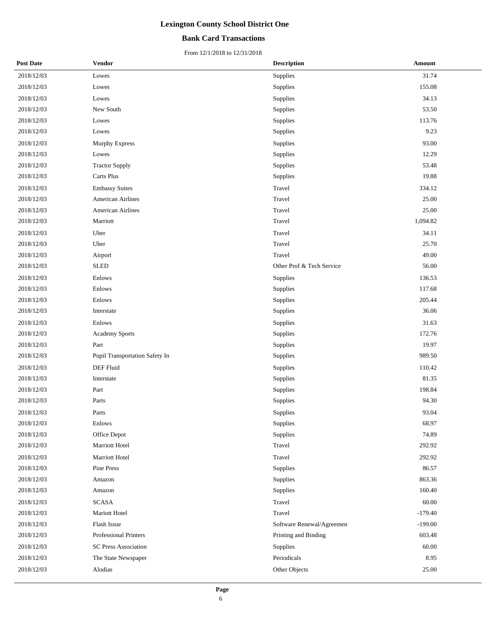## **Bank Card Transactions**

| <b>Post Date</b> | <b>Vendor</b>                  | <b>Description</b>        | Amount    |
|------------------|--------------------------------|---------------------------|-----------|
| 2018/12/03       | Lowes                          | Supplies                  | 31.74     |
| 2018/12/03       | Lowes                          | Supplies                  | 155.08    |
| 2018/12/03       | Lowes                          | Supplies                  | 34.13     |
| 2018/12/03       | New South                      | Supplies                  | 53.50     |
| 2018/12/03       | Lowes                          | Supplies                  | 113.76    |
| 2018/12/03       | Lowes                          | Supplies                  | 9.23      |
| 2018/12/03       | Murphy Express                 | Supplies                  | 93.00     |
| 2018/12/03       | Lowes                          | Supplies                  | 12.29     |
| 2018/12/03       | <b>Tractor Supply</b>          | Supplies                  | 53.48     |
| 2018/12/03       | Carts Plus                     | Supplies                  | 19.88     |
| 2018/12/03       | <b>Embassy Suites</b>          | Travel                    | 334.12    |
| 2018/12/03       | <b>American Airlines</b>       | Travel                    | 25.00     |
| 2018/12/03       | <b>American Airlines</b>       | Travel                    | 25.00     |
| 2018/12/03       | Marriott                       | Travel                    | 1,094.82  |
| 2018/12/03       | Uber                           | Travel                    | 34.11     |
| 2018/12/03       | Uber                           | Travel                    | 25.70     |
| 2018/12/03       | Airport                        | Travel                    | 49.00     |
| 2018/12/03       | <b>SLED</b>                    | Other Prof & Tech Service | 56.00     |
| 2018/12/03       | Enlows                         | Supplies                  | 136.53    |
| 2018/12/03       | Enlows                         | Supplies                  | 117.68    |
| 2018/12/03       | Enlows                         | Supplies                  | 205.44    |
| 2018/12/03       | Interstate                     | Supplies                  | 36.06     |
| 2018/12/03       | Enlows                         | Supplies                  | 31.63     |
| 2018/12/03       | Academy Sports                 | Supplies                  | 172.76    |
| 2018/12/03       | Part                           | Supplies                  | 19.97     |
| 2018/12/03       | Pupil Transportation Safety In | Supplies                  | 989.50    |
| 2018/12/03       | DEF Fluid                      | Supplies                  | 110.42    |
| 2018/12/03       | Interstate                     | Supplies                  | 81.35     |
| 2018/12/03       | Part                           | Supplies                  | 198.84    |
| 2018/12/03       | Parts                          | Supplies                  | 94.30     |
| 2018/12/03       | Parts                          | Supplies                  | 93.04     |
| 2018/12/03       | Enlows                         | Supplies                  | 68.97     |
| 2018/12/03       | Office Depot                   | Supplies                  | 74.89     |
| 2018/12/03       | Marriott Hotel                 | Travel                    | 292.92    |
| 2018/12/03       | Marriott Hotel                 | Travel                    | 292.92    |
| 2018/12/03       | Pine Press                     | Supplies                  | 86.57     |
| 2018/12/03       | Amazon                         | Supplies                  | 863.36    |
| 2018/12/03       | Amazon                         | Supplies                  | 160.40    |
| 2018/12/03       | <b>SCASA</b>                   | Travel                    | 60.00     |
| 2018/12/03       | Mariott Hotel                  | Travel                    | $-179.40$ |
| 2018/12/03       | Flash Issue                    | Software Renewal/Agreemen | $-199.00$ |
| 2018/12/03       | <b>Professional Printers</b>   | Printing and Binding      | 603.48    |
| 2018/12/03       | <b>SC Press Association</b>    | Supplies                  | 60.00     |
| 2018/12/03       | The State Newspaper            | Periodicals               | 8.95      |
| 2018/12/03       | Alodias                        | Other Objects             | 25.00     |
|                  |                                |                           |           |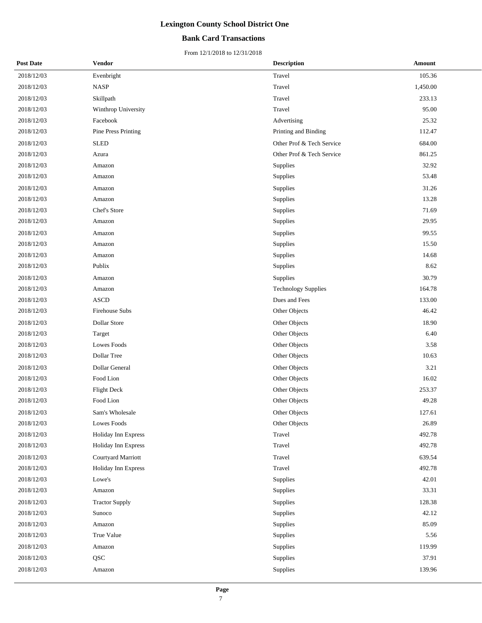## **Bank Card Transactions**

| <b>Post Date</b> | <b>Vendor</b>         | <b>Description</b>         | <b>Amount</b> |
|------------------|-----------------------|----------------------------|---------------|
| 2018/12/03       | Evenbright            | Travel                     | 105.36        |
| 2018/12/03       | <b>NASP</b>           | Travel                     | 1,450.00      |
| 2018/12/03       | Skillpath             | Travel                     | 233.13        |
| 2018/12/03       | Winthrop University   | Travel                     | 95.00         |
| 2018/12/03       | Facebook              | Advertising                | 25.32         |
| 2018/12/03       | Pine Press Printing   | Printing and Binding       | 112.47        |
| 2018/12/03       | <b>SLED</b>           | Other Prof & Tech Service  | 684.00        |
| 2018/12/03       | Azura                 | Other Prof & Tech Service  | 861.25        |
| 2018/12/03       | Amazon                | Supplies                   | 32.92         |
| 2018/12/03       | Amazon                | Supplies                   | 53.48         |
| 2018/12/03       | Amazon                | Supplies                   | 31.26         |
| 2018/12/03       | Amazon                | Supplies                   | 13.28         |
| 2018/12/03       | Chef's Store          | Supplies                   | 71.69         |
| 2018/12/03       | Amazon                | Supplies                   | 29.95         |
| 2018/12/03       | Amazon                | Supplies                   | 99.55         |
| 2018/12/03       | Amazon                | Supplies                   | 15.50         |
| 2018/12/03       | Amazon                | Supplies                   | 14.68         |
| 2018/12/03       | Publix                | Supplies                   | 8.62          |
| 2018/12/03       | Amazon                | Supplies                   | 30.79         |
| 2018/12/03       | Amazon                | <b>Technology Supplies</b> | 164.78        |
| 2018/12/03       | <b>ASCD</b>           | Dues and Fees              | 133.00        |
| 2018/12/03       | Firehouse Subs        | Other Objects              | 46.42         |
| 2018/12/03       | Dollar Store          | Other Objects              | 18.90         |
| 2018/12/03       | Target                | Other Objects              | 6.40          |
| 2018/12/03       | Lowes Foods           | Other Objects              | 3.58          |
| 2018/12/03       | Dollar Tree           | Other Objects              | 10.63         |
| 2018/12/03       | Dollar General        | Other Objects              | 3.21          |
| 2018/12/03       | Food Lion             | Other Objects              | 16.02         |
| 2018/12/03       | <b>Flight Deck</b>    | Other Objects              | 253.37        |
| 2018/12/03       | Food Lion             | Other Objects              | 49.28         |
| 2018/12/03       | Sam's Wholesale       | Other Objects              | 127.61        |
| 2018/12/03       | Lowes Foods           | Other Objects              | 26.89         |
| 2018/12/03       | Holiday Inn Express   | Travel                     | 492.78        |
| 2018/12/03       | Holiday Inn Express   | Travel                     | 492.78        |
| 2018/12/03       | Courtyard Marriott    | Travel                     | 639.54        |
| 2018/12/03       | Holiday Inn Express   | Travel                     | 492.78        |
| 2018/12/03       | Lowe's                | Supplies                   | 42.01         |
| 2018/12/03       | Amazon                | Supplies                   | 33.31         |
| 2018/12/03       | <b>Tractor Supply</b> | Supplies                   | 128.38        |
| 2018/12/03       | Sunoco                | Supplies                   | 42.12         |
| 2018/12/03       | Amazon                | Supplies                   | 85.09         |
| 2018/12/03       | True Value            | Supplies                   | 5.56          |
| 2018/12/03       | Amazon                | Supplies                   | 119.99        |
| 2018/12/03       | <b>QSC</b>            | Supplies                   | 37.91         |
| 2018/12/03       | Amazon                | Supplies                   | 139.96        |
|                  |                       |                            |               |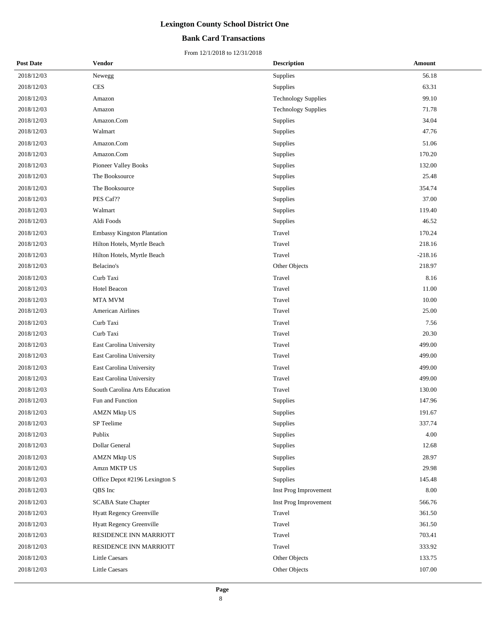## **Bank Card Transactions**

| <b>Post Date</b> | Vendor                             | <b>Description</b>         | Amount    |
|------------------|------------------------------------|----------------------------|-----------|
| 2018/12/03       | Newegg                             | Supplies                   | 56.18     |
| 2018/12/03       | <b>CES</b>                         | Supplies                   | 63.31     |
| 2018/12/03       | Amazon                             | <b>Technology Supplies</b> | 99.10     |
| 2018/12/03       | Amazon                             | <b>Technology Supplies</b> | 71.78     |
| 2018/12/03       | Amazon.Com                         | Supplies                   | 34.04     |
| 2018/12/03       | Walmart                            | Supplies                   | 47.76     |
| 2018/12/03       | Amazon.Com                         | Supplies                   | 51.06     |
| 2018/12/03       | Amazon.Com                         | Supplies                   | 170.20    |
| 2018/12/03       | <b>Pioneer Valley Books</b>        | Supplies                   | 132.00    |
| 2018/12/03       | The Booksource                     | Supplies                   | 25.48     |
| 2018/12/03       | The Booksource                     | Supplies                   | 354.74    |
| 2018/12/03       | PES Caf??                          | Supplies                   | 37.00     |
| 2018/12/03       | Walmart                            | Supplies                   | 119.40    |
| 2018/12/03       | Aldi Foods                         | Supplies                   | 46.52     |
| 2018/12/03       | <b>Embassy Kingston Plantation</b> | Travel                     | 170.24    |
| 2018/12/03       | Hilton Hotels, Myrtle Beach        | Travel                     | 218.16    |
| 2018/12/03       | Hilton Hotels, Myrtle Beach        | Travel                     | $-218.16$ |
| 2018/12/03       | Belacino's                         | Other Objects              | 218.97    |
| 2018/12/03       | Curb Taxi                          | Travel                     | 8.16      |
| 2018/12/03       | Hotel Beacon                       | Travel                     | 11.00     |
| 2018/12/03       | MTA MVM                            | Travel                     | 10.00     |
| 2018/12/03       | <b>American Airlines</b>           | Travel                     | 25.00     |
| 2018/12/03       | Curb Taxi                          | Travel                     | 7.56      |
| 2018/12/03       | Curb Taxi                          | Travel                     | 20.30     |
| 2018/12/03       | East Carolina University           | Travel                     | 499.00    |
| 2018/12/03       | East Carolina University           | Travel                     | 499.00    |
| 2018/12/03       | East Carolina University           | Travel                     | 499.00    |
| 2018/12/03       | East Carolina University           | Travel                     | 499.00    |
| 2018/12/03       | South Carolina Arts Education      | Travel                     | 130.00    |
| 2018/12/03       | Fun and Function                   | Supplies                   | 147.96    |
| 2018/12/03       | <b>AMZN Mktp US</b>                | Supplies                   | 191.67    |
| 2018/12/03       | SP Teelime                         | Supplies                   | 337.74    |
| 2018/12/03       | Publix                             | Supplies                   | 4.00      |
| 2018/12/03       | Dollar General                     | Supplies                   | 12.68     |
| 2018/12/03       | <b>AMZN Mktp US</b>                | Supplies                   | 28.97     |
| 2018/12/03       | Amzn MKTP US                       | Supplies                   | 29.98     |
| 2018/12/03       | Office Depot #2196 Lexington S     | Supplies                   | 145.48    |
| 2018/12/03       | QBS Inc                            | Inst Prog Improvement      | 8.00      |
| 2018/12/03       | <b>SCABA State Chapter</b>         | Inst Prog Improvement      | 566.76    |
| 2018/12/03       | Hyatt Regency Greenville           | Travel                     | 361.50    |
| 2018/12/03       | Hyatt Regency Greenville           | Travel                     | 361.50    |
| 2018/12/03       | RESIDENCE INN MARRIOTT             | Travel                     | 703.41    |
| 2018/12/03       | RESIDENCE INN MARRIOTT             | Travel                     | 333.92    |
| 2018/12/03       | Little Caesars                     | Other Objects              | 133.75    |
| 2018/12/03       | Little Caesars                     | Other Objects              | 107.00    |
|                  |                                    |                            |           |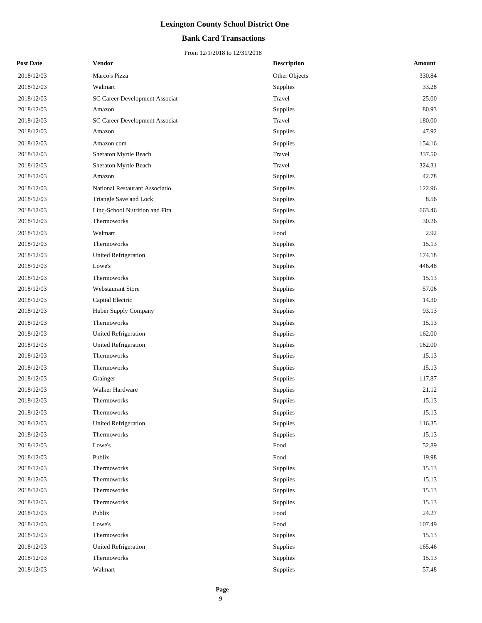## **Bank Card Transactions**

| <b>Post Date</b> | <b>Vendor</b>                  | <b>Description</b> | Amount |
|------------------|--------------------------------|--------------------|--------|
| 2018/12/03       | Marco's Pizza                  | Other Objects      | 330.84 |
| 2018/12/03       | Walmart                        | Supplies           | 33.28  |
| 2018/12/03       | SC Career Development Associat | Travel             | 25.00  |
| 2018/12/03       | Amazon                         | Supplies           | 80.93  |
| 2018/12/03       | SC Career Development Associat | Travel             | 180.00 |
| 2018/12/03       | Amazon                         | Supplies           | 47.92  |
| 2018/12/03       | Amazon.com                     | Supplies           | 154.16 |
| 2018/12/03       | Sheraton Myrtle Beach          | Travel             | 337.50 |
| 2018/12/03       | Sheraton Myrtle Beach          | Travel             | 324.31 |
| 2018/12/03       | Amazon                         | Supplies           | 42.78  |
| 2018/12/03       | National Restaurant Associatio | Supplies           | 122.96 |
| 2018/12/03       | Triangle Save and Lock         | Supplies           | 8.56   |
| 2018/12/03       | Linq-School Nutrition and Fitn | Supplies           | 663.46 |
| 2018/12/03       | Thermoworks                    | Supplies           | 30.26  |
| 2018/12/03       | Walmart                        | Food               | 2.92   |
| 2018/12/03       | Thermoworks                    | Supplies           | 15.13  |
| 2018/12/03       | United Refrigeration           | Supplies           | 174.18 |
| 2018/12/03       | Lowe's                         | Supplies           | 446.48 |
| 2018/12/03       | Thermoworks                    | Supplies           | 15.13  |
| 2018/12/03       | Webstaurant Store              | Supplies           | 57.06  |
| 2018/12/03       | Capital Electric               | Supplies           | 14.30  |
| 2018/12/03       | Huber Supply Company           | Supplies           | 93.13  |
| 2018/12/03       | Thermoworks                    | Supplies           | 15.13  |
| 2018/12/03       | <b>United Refrigeration</b>    | Supplies           | 162.00 |
| 2018/12/03       | <b>United Refrigeration</b>    | Supplies           | 162.00 |
| 2018/12/03       | Thermoworks                    | Supplies           | 15.13  |
| 2018/12/03       | Thermoworks                    | Supplies           | 15.13  |
| 2018/12/03       | Grainger                       | Supplies           | 117.87 |
| 2018/12/03       | Walker Hardware                | Supplies           | 21.12  |
| 2018/12/03       | Thermoworks                    | Supplies           | 15.13  |
| 2018/12/03       | Thermoworks                    | Supplies           | 15.13  |
| 2018/12/03       | <b>United Refrigeration</b>    | Supplies           | 116.35 |
| 2018/12/03       | Thermoworks                    | Supplies           | 15.13  |
| 2018/12/03       | Lowe's                         | Food               | 52.89  |
| 2018/12/03       | Publix                         | Food               | 19.98  |
| 2018/12/03       | Thermoworks                    | Supplies           | 15.13  |
| 2018/12/03       | Thermoworks                    | Supplies           | 15.13  |
| 2018/12/03       | Thermoworks                    | Supplies           | 15.13  |
| 2018/12/03       | Thermoworks                    | Supplies           | 15.13  |
| 2018/12/03       | Publix                         | Food               | 24.27  |
| 2018/12/03       | Lowe's                         | Food               | 107.49 |
| 2018/12/03       | Thermoworks                    | Supplies           | 15.13  |
| 2018/12/03       | United Refrigeration           | Supplies           | 165.46 |
| 2018/12/03       | Thermoworks                    | Supplies           | 15.13  |
| 2018/12/03       | Walmart                        | Supplies           | 57.48  |
|                  |                                |                    |        |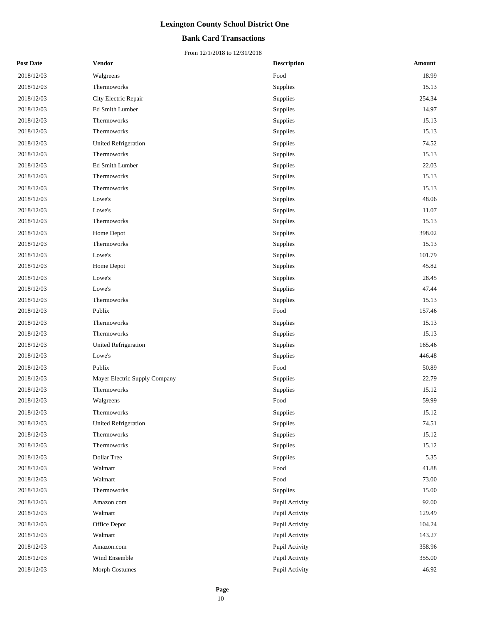## **Bank Card Transactions**

| <b>Post Date</b> | <b>Vendor</b>                 | <b>Description</b> | Amount |
|------------------|-------------------------------|--------------------|--------|
| 2018/12/03       | Walgreens                     | Food               | 18.99  |
| 2018/12/03       | Thermoworks                   | Supplies           | 15.13  |
| 2018/12/03       | City Electric Repair          | Supplies           | 254.34 |
| 2018/12/03       | Ed Smith Lumber               | Supplies           | 14.97  |
| 2018/12/03       | Thermoworks                   | Supplies           | 15.13  |
| 2018/12/03       | Thermoworks                   | Supplies           | 15.13  |
| 2018/12/03       | <b>United Refrigeration</b>   | Supplies           | 74.52  |
| 2018/12/03       | Thermoworks                   | Supplies           | 15.13  |
| 2018/12/03       | Ed Smith Lumber               | Supplies           | 22.03  |
| 2018/12/03       | Thermoworks                   | Supplies           | 15.13  |
| 2018/12/03       | Thermoworks                   | Supplies           | 15.13  |
| 2018/12/03       | Lowe's                        | Supplies           | 48.06  |
| 2018/12/03       | Lowe's                        | Supplies           | 11.07  |
| 2018/12/03       | Thermoworks                   | Supplies           | 15.13  |
| 2018/12/03       | Home Depot                    | Supplies           | 398.02 |
| 2018/12/03       | Thermoworks                   | Supplies           | 15.13  |
| 2018/12/03       | Lowe's                        | Supplies           | 101.79 |
| 2018/12/03       | Home Depot                    | Supplies           | 45.82  |
| 2018/12/03       | Lowe's                        | Supplies           | 28.45  |
| 2018/12/03       | Lowe's                        | Supplies           | 47.44  |
| 2018/12/03       | Thermoworks                   | Supplies           | 15.13  |
| 2018/12/03       | Publix                        | Food               | 157.46 |
| 2018/12/03       | Thermoworks                   | Supplies           | 15.13  |
| 2018/12/03       | Thermoworks                   | Supplies           | 15.13  |
| 2018/12/03       | <b>United Refrigeration</b>   | Supplies           | 165.46 |
| 2018/12/03       | Lowe's                        | Supplies           | 446.48 |
| 2018/12/03       | Publix                        | Food               | 50.89  |
| 2018/12/03       | Mayer Electric Supply Company | Supplies           | 22.79  |
| 2018/12/03       | Thermoworks                   | Supplies           | 15.12  |
| 2018/12/03       | Walgreens                     | Food               | 59.99  |
| 2018/12/03       | Thermoworks                   | Supplies           | 15.12  |
| 2018/12/03       | <b>United Refrigeration</b>   | Supplies           | 74.51  |
| 2018/12/03       | Thermoworks                   | Supplies           | 15.12  |
| 2018/12/03       | Thermoworks                   | Supplies           | 15.12  |
| 2018/12/03       | Dollar Tree                   | Supplies           | 5.35   |
| 2018/12/03       | Walmart                       | Food               | 41.88  |
| 2018/12/03       | Walmart                       | Food               | 73.00  |
| 2018/12/03       | Thermoworks                   | Supplies           | 15.00  |
| 2018/12/03       | Amazon.com                    | Pupil Activity     | 92.00  |
| 2018/12/03       | Walmart                       | Pupil Activity     | 129.49 |
| 2018/12/03       | Office Depot                  | Pupil Activity     | 104.24 |
| 2018/12/03       | Walmart                       | Pupil Activity     | 143.27 |
| 2018/12/03       | Amazon.com                    | Pupil Activity     | 358.96 |
| 2018/12/03       | Wind Ensemble                 | Pupil Activity     | 355.00 |
| 2018/12/03       | Morph Costumes                | Pupil Activity     | 46.92  |
|                  |                               |                    |        |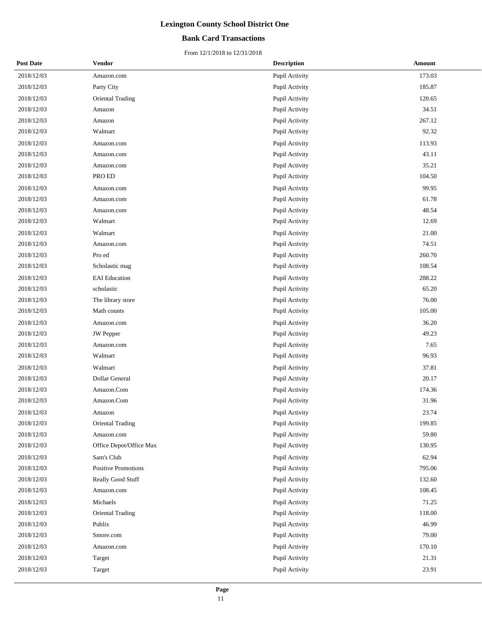## **Bank Card Transactions**

| <b>Post Date</b> | <b>Vendor</b>              | <b>Description</b> | Amount |
|------------------|----------------------------|--------------------|--------|
| 2018/12/03       | Amazon.com                 | Pupil Activity     | 173.03 |
| 2018/12/03       | Party City                 | Pupil Activity     | 185.87 |
| 2018/12/03       | Oriental Trading           | Pupil Activity     | 120.65 |
| 2018/12/03       | Amazon                     | Pupil Activity     | 34.51  |
| 2018/12/03       | Amazon                     | Pupil Activity     | 267.12 |
| 2018/12/03       | Walmart                    | Pupil Activity     | 92.32  |
| 2018/12/03       | Amazon.com                 | Pupil Activity     | 113.93 |
| 2018/12/03       | Amazon.com                 | Pupil Activity     | 43.11  |
| 2018/12/03       | Amazon.com                 | Pupil Activity     | 35.21  |
| 2018/12/03       | PRO ED                     | Pupil Activity     | 104.50 |
| 2018/12/03       | Amazon.com                 | Pupil Activity     | 99.95  |
| 2018/12/03       | Amazon.com                 | Pupil Activity     | 61.78  |
| 2018/12/03       | Amazon.com                 | Pupil Activity     | 48.54  |
| 2018/12/03       | Walmart                    | Pupil Activity     | 12.69  |
| 2018/12/03       | Walmart                    | Pupil Activity     | 21.00  |
| 2018/12/03       | Amazon.com                 | Pupil Activity     | 74.51  |
| 2018/12/03       | Pro ed                     | Pupil Activity     | 260.70 |
| 2018/12/03       | Scholastic mag             | Pupil Activity     | 108.54 |
| 2018/12/03       | <b>EAI</b> Education       | Pupil Activity     | 288.22 |
| 2018/12/03       | scholastic                 | Pupil Activity     | 65.20  |
| 2018/12/03       | The library store          | Pupil Activity     | 76.00  |
| 2018/12/03       | Math counts                | Pupil Activity     | 105.00 |
| 2018/12/03       | Amazon.com                 | Pupil Activity     | 36.20  |
| 2018/12/03       | <b>JW</b> Pepper           | Pupil Activity     | 49.23  |
| 2018/12/03       | Amazon.com                 | Pupil Activity     | 7.65   |
| 2018/12/03       | Walmart                    | Pupil Activity     | 96.93  |
| 2018/12/03       | Walmart                    | Pupil Activity     | 37.81  |
| 2018/12/03       | Dollar General             | Pupil Activity     | 20.17  |
| 2018/12/03       | Amazon.Com                 | Pupil Activity     | 174.36 |
| 2018/12/03       | Amazon.Com                 | Pupil Activity     | 31.96  |
| $2018/12/03$     | Amazon                     | Pupil Activity     | 23.74  |
| 2018/12/03       | Oriental Trading           | Pupil Activity     | 199.85 |
| 2018/12/03       | Amazon.com                 | Pupil Activity     | 59.80  |
| 2018/12/03       | Office Depot/Office Max    | Pupil Activity     | 130.95 |
| 2018/12/03       | Sam's Club                 | Pupil Activity     | 62.94  |
| 2018/12/03       | <b>Positive Promotions</b> | Pupil Activity     | 795.06 |
| 2018/12/03       | Really Good Stuff          | Pupil Activity     | 132.60 |
| 2018/12/03       | Amazon.com                 | Pupil Activity     | 108.45 |
| 2018/12/03       | Michaels                   | Pupil Activity     | 71.25  |
| 2018/12/03       | Oriental Trading           | Pupil Activity     | 118.00 |
| 2018/12/03       | Publix                     | Pupil Activity     | 46.99  |
| 2018/12/03       | Smore.com                  | Pupil Activity     | 79.00  |
| 2018/12/03       | Amazon.com                 | Pupil Activity     | 170.10 |
| 2018/12/03       | Target                     | Pupil Activity     | 21.31  |
| 2018/12/03       | Target                     | Pupil Activity     | 23.91  |
|                  |                            |                    |        |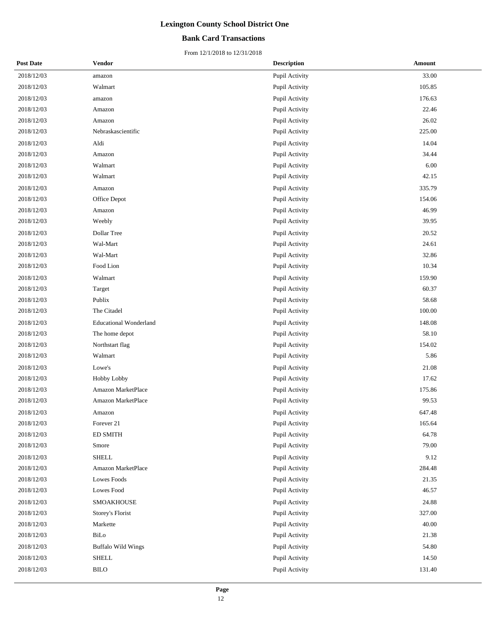## **Bank Card Transactions**

| <b>Post Date</b> | <b>Vendor</b>                 | <b>Description</b> | <b>Amount</b> |
|------------------|-------------------------------|--------------------|---------------|
| 2018/12/03       | amazon                        | Pupil Activity     | 33.00         |
| 2018/12/03       | Walmart                       | Pupil Activity     | 105.85        |
| 2018/12/03       | amazon                        | Pupil Activity     | 176.63        |
| 2018/12/03       | Amazon                        | Pupil Activity     | 22.46         |
| 2018/12/03       | Amazon                        | Pupil Activity     | 26.02         |
| 2018/12/03       | Nebraskascientific            | Pupil Activity     | 225.00        |
| 2018/12/03       | Aldi                          | Pupil Activity     | 14.04         |
| 2018/12/03       | Amazon                        | Pupil Activity     | 34.44         |
| 2018/12/03       | Walmart                       | Pupil Activity     | 6.00          |
| 2018/12/03       | Walmart                       | Pupil Activity     | 42.15         |
| 2018/12/03       | Amazon                        | Pupil Activity     | 335.79        |
| 2018/12/03       | Office Depot                  | Pupil Activity     | 154.06        |
| 2018/12/03       | Amazon                        | Pupil Activity     | 46.99         |
| 2018/12/03       | Weebly                        | Pupil Activity     | 39.95         |
| 2018/12/03       | Dollar Tree                   | Pupil Activity     | 20.52         |
| 2018/12/03       | Wal-Mart                      | Pupil Activity     | 24.61         |
| 2018/12/03       | Wal-Mart                      | Pupil Activity     | 32.86         |
| 2018/12/03       | Food Lion                     | Pupil Activity     | 10.34         |
| 2018/12/03       | Walmart                       | Pupil Activity     | 159.90        |
| 2018/12/03       | Target                        | Pupil Activity     | 60.37         |
| 2018/12/03       | Publix                        | Pupil Activity     | 58.68         |
| 2018/12/03       | The Citadel                   | Pupil Activity     | 100.00        |
| 2018/12/03       | <b>Educational Wonderland</b> | Pupil Activity     | 148.08        |
| 2018/12/03       | The home depot                | Pupil Activity     | 58.10         |
| 2018/12/03       | Northstart flag               | Pupil Activity     | 154.02        |
| 2018/12/03       | Walmart                       | Pupil Activity     | 5.86          |
| 2018/12/03       | Lowe's                        | Pupil Activity     | 21.08         |
| 2018/12/03       | Hobby Lobby                   | Pupil Activity     | 17.62         |
| 2018/12/03       | Amazon MarketPlace            | Pupil Activity     | 175.86        |
| 2018/12/03       | Amazon MarketPlace            | Pupil Activity     | 99.53         |
| 2018/12/03       | Amazon                        | Pupil Activity     | 647.48        |
| 2018/12/03       | Forever 21                    | Pupil Activity     | 165.64        |
| 2018/12/03       | <b>ED SMITH</b>               | Pupil Activity     | 64.78         |
| 2018/12/03       | Smore                         | Pupil Activity     | 79.00         |
| 2018/12/03       | <b>SHELL</b>                  | Pupil Activity     | 9.12          |
| 2018/12/03       | Amazon MarketPlace            | Pupil Activity     | 284.48        |
| 2018/12/03       | Lowes Foods                   | Pupil Activity     | 21.35         |
| 2018/12/03       | Lowes Food                    | Pupil Activity     | 46.57         |
| 2018/12/03       | SMOAKHOUSE                    | Pupil Activity     | 24.88         |
| 2018/12/03       | Storey's Florist              | Pupil Activity     | 327.00        |
| 2018/12/03       | Markette                      | Pupil Activity     | 40.00         |
| 2018/12/03       | BiLo                          | Pupil Activity     | 21.38         |
| 2018/12/03       | <b>Buffalo Wild Wings</b>     | Pupil Activity     | 54.80         |
| 2018/12/03       | <b>SHELL</b>                  | Pupil Activity     | 14.50         |
| 2018/12/03       | <b>BILO</b>                   | Pupil Activity     | 131.40        |
|                  |                               |                    |               |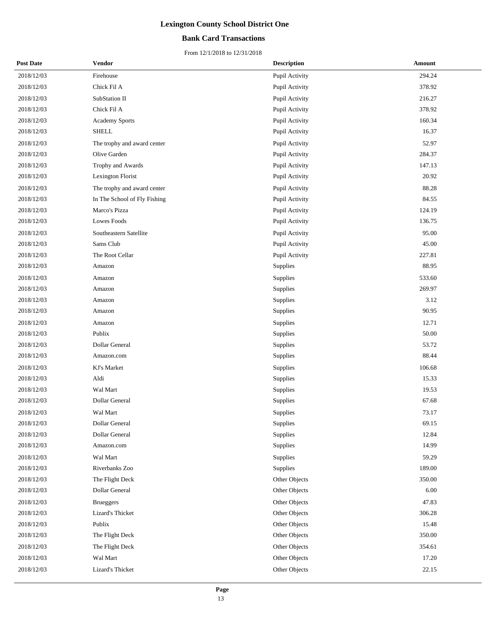## **Bank Card Transactions**

| <b>Post Date</b> | <b>Vendor</b>                | <b>Description</b> | <b>Amount</b> |
|------------------|------------------------------|--------------------|---------------|
| 2018/12/03       | Firehouse                    | Pupil Activity     | 294.24        |
| 2018/12/03       | Chick Fil A                  | Pupil Activity     | 378.92        |
| 2018/12/03       | SubStation II                | Pupil Activity     | 216.27        |
| 2018/12/03       | Chick Fil A                  | Pupil Activity     | 378.92        |
| 2018/12/03       | Academy Sports               | Pupil Activity     | 160.34        |
| 2018/12/03       | <b>SHELL</b>                 | Pupil Activity     | 16.37         |
| 2018/12/03       | The trophy and award center  | Pupil Activity     | 52.97         |
| 2018/12/03       | Olive Garden                 | Pupil Activity     | 284.37        |
| 2018/12/03       | Trophy and Awards            | Pupil Activity     | 147.13        |
| 2018/12/03       | Lexington Florist            | Pupil Activity     | 20.92         |
| 2018/12/03       | The trophy and award center  | Pupil Activity     | 88.28         |
| 2018/12/03       | In The School of Fly Fishing | Pupil Activity     | 84.55         |
| 2018/12/03       | Marco's Pizza                | Pupil Activity     | 124.19        |
| 2018/12/03       | Lowes Foods                  | Pupil Activity     | 136.75        |
| 2018/12/03       | Southeastern Satellite       | Pupil Activity     | 95.00         |
| 2018/12/03       | Sams Club                    | Pupil Activity     | 45.00         |
| 2018/12/03       | The Root Cellar              | Pupil Activity     | 227.81        |
| 2018/12/03       | Amazon                       | Supplies           | 88.95         |
| 2018/12/03       | Amazon                       | Supplies           | 533.60        |
| 2018/12/03       | Amazon                       | Supplies           | 269.97        |
| 2018/12/03       | Amazon                       | Supplies           | 3.12          |
| 2018/12/03       | Amazon                       | Supplies           | 90.95         |
| 2018/12/03       | Amazon                       | Supplies           | 12.71         |
| 2018/12/03       | Publix                       | Supplies           | 50.00         |
| 2018/12/03       | Dollar General               | Supplies           | 53.72         |
| 2018/12/03       | Amazon.com                   | Supplies           | 88.44         |
| 2018/12/03       | KJ's Market                  | Supplies           | 106.68        |
| 2018/12/03       | Aldi                         | Supplies           | 15.33         |
| 2018/12/03       | Wal Mart                     | Supplies           | 19.53         |
| 2018/12/03       | Dollar General               | Supplies           | 67.68         |
| 2018/12/03       | Wal Mart                     | Supplies           | 73.17         |
| 2018/12/03       | Dollar General               | Supplies           | 69.15         |
| 2018/12/03       | Dollar General               | Supplies           | 12.84         |
| 2018/12/03       | Amazon.com                   | Supplies           | 14.99         |
| 2018/12/03       | Wal Mart                     | Supplies           | 59.29         |
| 2018/12/03       | Riverbanks Zoo               | Supplies           | 189.00        |
| 2018/12/03       | The Flight Deck              | Other Objects      | 350.00        |
| 2018/12/03       | Dollar General               | Other Objects      | 6.00          |
| 2018/12/03       | <b>Brueggers</b>             | Other Objects      | 47.83         |
| 2018/12/03       | Lizard's Thicket             | Other Objects      | 306.28        |
| 2018/12/03       | Publix                       | Other Objects      | 15.48         |
| 2018/12/03       | The Flight Deck              | Other Objects      | 350.00        |
| 2018/12/03       | The Flight Deck              | Other Objects      | 354.61        |
| 2018/12/03       | Wal Mart                     | Other Objects      | 17.20         |
| 2018/12/03       | Lizard's Thicket             | Other Objects      | 22.15         |
|                  |                              |                    |               |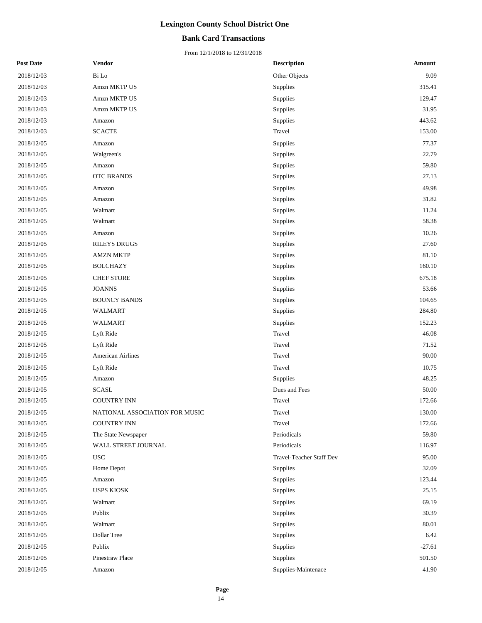## **Bank Card Transactions**

| <b>Post Date</b> | <b>Vendor</b>                  | <b>Description</b>       | Amount   |
|------------------|--------------------------------|--------------------------|----------|
| 2018/12/03       | Bi Lo                          | Other Objects            | 9.09     |
| 2018/12/03       | Amzn MKTP US                   | Supplies                 | 315.41   |
| 2018/12/03       | Amzn MKTP US                   | Supplies                 | 129.47   |
| 2018/12/03       | Amzn MKTP US                   | Supplies                 | 31.95    |
| 2018/12/03       | Amazon                         | Supplies                 | 443.62   |
| 2018/12/03       | <b>SCACTE</b>                  | Travel                   | 153.00   |
| 2018/12/05       | Amazon                         | Supplies                 | 77.37    |
| 2018/12/05       | Walgreen's                     | Supplies                 | 22.79    |
| 2018/12/05       | Amazon                         | Supplies                 | 59.80    |
| 2018/12/05       | <b>OTC BRANDS</b>              | Supplies                 | 27.13    |
| 2018/12/05       | Amazon                         | Supplies                 | 49.98    |
| 2018/12/05       | Amazon                         | Supplies                 | 31.82    |
| 2018/12/05       | Walmart                        | Supplies                 | 11.24    |
| 2018/12/05       | Walmart                        | Supplies                 | 58.38    |
| 2018/12/05       | Amazon                         | Supplies                 | 10.26    |
| 2018/12/05       | <b>RILEYS DRUGS</b>            | Supplies                 | 27.60    |
| 2018/12/05       | <b>AMZN MKTP</b>               | Supplies                 | 81.10    |
| 2018/12/05       | <b>BOLCHAZY</b>                | Supplies                 | 160.10   |
| 2018/12/05       | <b>CHEF STORE</b>              | Supplies                 | 675.18   |
| 2018/12/05       | <b>JOANNS</b>                  | Supplies                 | 53.66    |
| 2018/12/05       | <b>BOUNCY BANDS</b>            | Supplies                 | 104.65   |
| 2018/12/05       | WALMART                        | Supplies                 | 284.80   |
| 2018/12/05       | WALMART                        | Supplies                 | 152.23   |
| 2018/12/05       | Lyft Ride                      | Travel                   | 46.08    |
| 2018/12/05       | Lyft Ride                      | Travel                   | 71.52    |
| 2018/12/05       | American Airlines              | Travel                   | 90.00    |
| 2018/12/05       | Lyft Ride                      | Travel                   | 10.75    |
| 2018/12/05       | Amazon                         | Supplies                 | 48.25    |
| 2018/12/05       | <b>SCASL</b>                   | Dues and Fees            | 50.00    |
| 2018/12/05       | <b>COUNTRY INN</b>             | Travel                   | 172.66   |
| 2018/12/05       | NATIONAL ASSOCIATION FOR MUSIC | Travel                   | 130.00   |
| 2018/12/05       | <b>COUNTRY INN</b>             | Travel                   | 172.66   |
| 2018/12/05       | The State Newspaper            | Periodicals              | 59.80    |
| 2018/12/05       | WALL STREET JOURNAL            | Periodicals              | 116.97   |
| 2018/12/05       | <b>USC</b>                     | Travel-Teacher Staff Dev | 95.00    |
| 2018/12/05       | Home Depot                     | Supplies                 | 32.09    |
| 2018/12/05       | Amazon                         | Supplies                 | 123.44   |
| 2018/12/05       | <b>USPS KIOSK</b>              | Supplies                 | 25.15    |
| 2018/12/05       | Walmart                        | Supplies                 | 69.19    |
| 2018/12/05       | Publix                         | Supplies                 | 30.39    |
| 2018/12/05       | Walmart                        | Supplies                 | 80.01    |
| 2018/12/05       | Dollar Tree                    | Supplies                 | 6.42     |
| 2018/12/05       | Publix                         | Supplies                 | $-27.61$ |
| 2018/12/05       | Pinestraw Place                | Supplies                 | 501.50   |
| 2018/12/05       | Amazon                         | Supplies-Maintenace      | 41.90    |
|                  |                                |                          |          |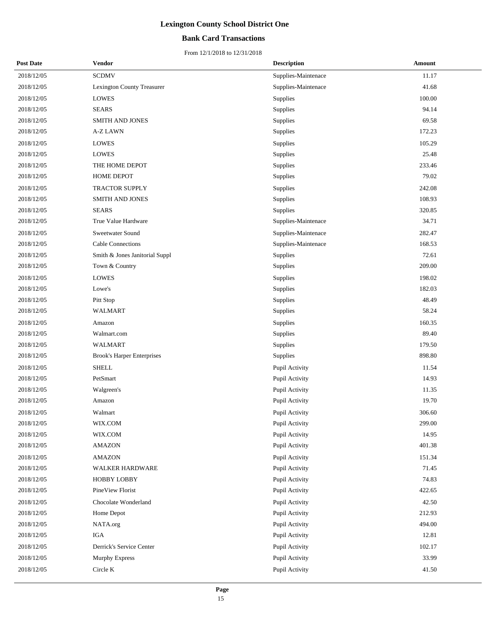## **Bank Card Transactions**

| <b>Post Date</b> | <b>Vendor</b>                     | <b>Description</b>  | <b>Amount</b> |
|------------------|-----------------------------------|---------------------|---------------|
| 2018/12/05       | <b>SCDMV</b>                      | Supplies-Maintenace | 11.17         |
| 2018/12/05       | Lexington County Treasurer        | Supplies-Maintenace | 41.68         |
| 2018/12/05       | <b>LOWES</b>                      | Supplies            | 100.00        |
| 2018/12/05       | <b>SEARS</b>                      | Supplies            | 94.14         |
| 2018/12/05       | SMITH AND JONES                   | Supplies            | 69.58         |
| 2018/12/05       | A-Z LAWN                          | Supplies            | 172.23        |
| 2018/12/05       | <b>LOWES</b>                      | Supplies            | 105.29        |
| 2018/12/05       | <b>LOWES</b>                      | Supplies            | 25.48         |
| 2018/12/05       | THE HOME DEPOT                    | Supplies            | 233.46        |
| 2018/12/05       | HOME DEPOT                        | Supplies            | 79.02         |
| 2018/12/05       | TRACTOR SUPPLY                    | Supplies            | 242.08        |
| 2018/12/05       | SMITH AND JONES                   | Supplies            | 108.93        |
| 2018/12/05       | <b>SEARS</b>                      | Supplies            | 320.85        |
| 2018/12/05       | True Value Hardware               | Supplies-Maintenace | 34.71         |
| 2018/12/05       | Sweetwater Sound                  | Supplies-Maintenace | 282.47        |
| 2018/12/05       | Cable Connections                 | Supplies-Maintenace | 168.53        |
| 2018/12/05       | Smith & Jones Janitorial Suppl    | Supplies            | 72.61         |
| 2018/12/05       | Town & Country                    | Supplies            | 209.00        |
| 2018/12/05       | <b>LOWES</b>                      | Supplies            | 198.02        |
| 2018/12/05       | Lowe's                            | Supplies            | 182.03        |
| 2018/12/05       | Pitt Stop                         | Supplies            | 48.49         |
| 2018/12/05       | WALMART                           | Supplies            | 58.24         |
| 2018/12/05       | Amazon                            | Supplies            | 160.35        |
| 2018/12/05       | Walmart.com                       | Supplies            | 89.40         |
| 2018/12/05       | WALMART                           | Supplies            | 179.50        |
| 2018/12/05       | <b>Brook's Harper Enterprises</b> | Supplies            | 898.80        |
| 2018/12/05       | <b>SHELL</b>                      | Pupil Activity      | 11.54         |
| 2018/12/05       | PetSmart                          | Pupil Activity      | 14.93         |
| 2018/12/05       | Walgreen's                        | Pupil Activity      | 11.35         |
| 2018/12/05       | Amazon                            | Pupil Activity      | 19.70         |
| 2018/12/05       | Walmart                           | Pupil Activity      | 306.60        |
| 2018/12/05       | WIX.COM                           | Pupil Activity      | 299.00        |
| 2018/12/05       | WIX.COM                           | Pupil Activity      | 14.95         |
| 2018/12/05       | <b>AMAZON</b>                     | Pupil Activity      | 401.38        |
| 2018/12/05       | <b>AMAZON</b>                     | Pupil Activity      | 151.34        |
| 2018/12/05       | WALKER HARDWARE                   | Pupil Activity      | 71.45         |
| 2018/12/05       | <b>HOBBY LOBBY</b>                | Pupil Activity      | 74.83         |
| 2018/12/05       | PineView Florist                  | Pupil Activity      | 422.65        |
| 2018/12/05       | Chocolate Wonderland              | Pupil Activity      | 42.50         |
| 2018/12/05       | Home Depot                        | Pupil Activity      | 212.93        |
| 2018/12/05       | NATA.org                          | Pupil Activity      | 494.00        |
| 2018/12/05       | IGA                               | Pupil Activity      | 12.81         |
| 2018/12/05       | Derrick's Service Center          | Pupil Activity      | 102.17        |
| 2018/12/05       | Murphy Express                    | Pupil Activity      | 33.99         |
| 2018/12/05       | Circle K                          | Pupil Activity      | 41.50         |
|                  |                                   |                     |               |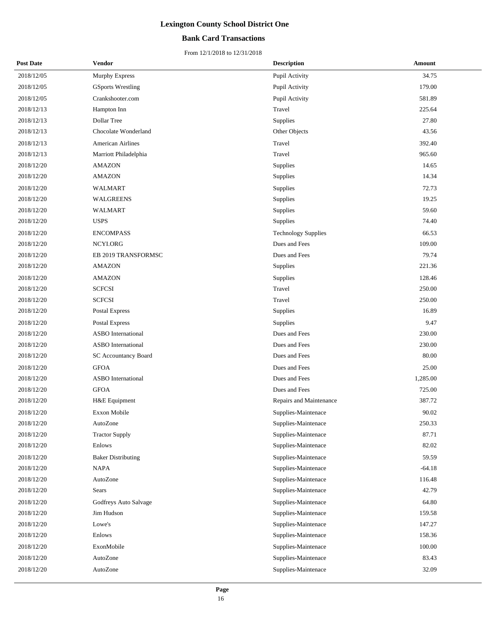## **Bank Card Transactions**

| <b>Post Date</b> | <b>Vendor</b>             | <b>Description</b>         | Amount   |
|------------------|---------------------------|----------------------------|----------|
| 2018/12/05       | Murphy Express            | Pupil Activity             | 34.75    |
| 2018/12/05       | <b>GSports Wrestling</b>  | Pupil Activity             | 179.00   |
| 2018/12/05       | Crankshooter.com          | Pupil Activity             | 581.89   |
| 2018/12/13       | Hampton Inn               | Travel                     | 225.64   |
| 2018/12/13       | Dollar Tree               | Supplies                   | 27.80    |
| 2018/12/13       | Chocolate Wonderland      | Other Objects              | 43.56    |
| 2018/12/13       | <b>American Airlines</b>  | Travel                     | 392.40   |
| 2018/12/13       | Marriott Philadelphia     | Travel                     | 965.60   |
| 2018/12/20       | <b>AMAZON</b>             | Supplies                   | 14.65    |
| 2018/12/20       | <b>AMAZON</b>             | Supplies                   | 14.34    |
| 2018/12/20       | WALMART                   | Supplies                   | 72.73    |
| 2018/12/20       | <b>WALGREENS</b>          | Supplies                   | 19.25    |
| 2018/12/20       | WALMART                   | Supplies                   | 59.60    |
| 2018/12/20       | <b>USPS</b>               | Supplies                   | 74.40    |
| 2018/12/20       | <b>ENCOMPASS</b>          | <b>Technology Supplies</b> | 66.53    |
| 2018/12/20       | NCYI.ORG                  | Dues and Fees              | 109.00   |
| 2018/12/20       | EB 2019 TRANSFORMSC       | Dues and Fees              | 79.74    |
| 2018/12/20       | <b>AMAZON</b>             | Supplies                   | 221.36   |
| 2018/12/20       | <b>AMAZON</b>             | Supplies                   | 128.46   |
| 2018/12/20       | <b>SCFCSI</b>             | Travel                     | 250.00   |
| 2018/12/20       | <b>SCFCSI</b>             | Travel                     | 250.00   |
| 2018/12/20       | Postal Express            | Supplies                   | 16.89    |
| 2018/12/20       | Postal Express            | Supplies                   | 9.47     |
| 2018/12/20       | <b>ASBO</b> International | Dues and Fees              | 230.00   |
| 2018/12/20       | <b>ASBO</b> International | Dues and Fees              | 230.00   |
| 2018/12/20       | SC Accountancy Board      | Dues and Fees              | 80.00    |
| 2018/12/20       | <b>GFOA</b>               | Dues and Fees              | 25.00    |
| 2018/12/20       | <b>ASBO</b> International | Dues and Fees              | 1,285.00 |
| 2018/12/20       | <b>GFOA</b>               | Dues and Fees              | 725.00   |
| 2018/12/20       | H&E Equipment             | Repairs and Maintenance    | 387.72   |
| 2018/12/20       | Exxon Mobile              | Supplies-Maintenace        | 90.02    |
| 2018/12/20       | AutoZone                  | Supplies-Maintenace        | 250.33   |
| 2018/12/20       | <b>Tractor Supply</b>     | Supplies-Maintenace        | 87.71    |
| 2018/12/20       | Enlows                    | Supplies-Maintenace        | 82.02    |
| 2018/12/20       | <b>Baker Distributing</b> | Supplies-Maintenace        | 59.59    |
| 2018/12/20       | <b>NAPA</b>               | Supplies-Maintenace        | $-64.18$ |
| 2018/12/20       | AutoZone                  | Supplies-Maintenace        | 116.48   |
| 2018/12/20       | Sears                     | Supplies-Maintenace        | 42.79    |
| 2018/12/20       | Godfreys Auto Salvage     | Supplies-Maintenace        | 64.80    |
| 2018/12/20       | Jim Hudson                | Supplies-Maintenace        | 159.58   |
| 2018/12/20       | Lowe's                    | Supplies-Maintenace        | 147.27   |
| 2018/12/20       | Enlows                    | Supplies-Maintenace        | 158.36   |
| 2018/12/20       | ExonMobile                | Supplies-Maintenace        | 100.00   |
| 2018/12/20       | AutoZone                  | Supplies-Maintenace        | 83.43    |
| 2018/12/20       | AutoZone                  | Supplies-Maintenace        | 32.09    |
|                  |                           |                            |          |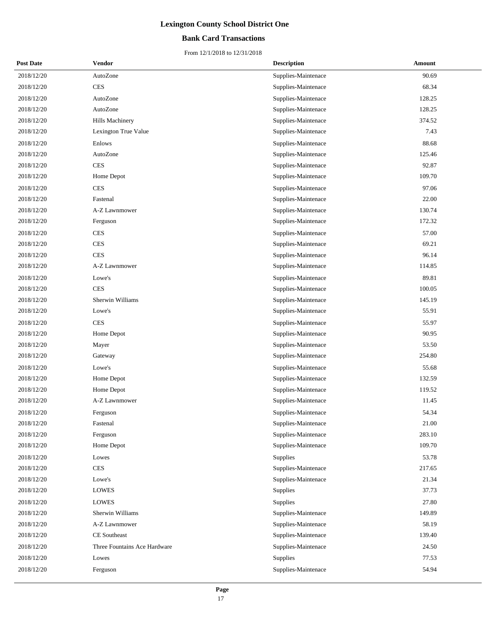## **Bank Card Transactions**

| <b>Post Date</b> | <b>Vendor</b>                | <b>Description</b>  | <b>Amount</b> |
|------------------|------------------------------|---------------------|---------------|
| 2018/12/20       | AutoZone                     | Supplies-Maintenace | 90.69         |
| 2018/12/20       | <b>CES</b>                   | Supplies-Maintenace | 68.34         |
| 2018/12/20       | AutoZone                     | Supplies-Maintenace | 128.25        |
| 2018/12/20       | AutoZone                     | Supplies-Maintenace | 128.25        |
| 2018/12/20       | Hills Machinery              | Supplies-Maintenace | 374.52        |
| 2018/12/20       | Lexington True Value         | Supplies-Maintenace | 7.43          |
| 2018/12/20       | Enlows                       | Supplies-Maintenace | 88.68         |
| 2018/12/20       | AutoZone                     | Supplies-Maintenace | 125.46        |
| 2018/12/20       | <b>CES</b>                   | Supplies-Maintenace | 92.87         |
| 2018/12/20       | Home Depot                   | Supplies-Maintenace | 109.70        |
| 2018/12/20       | <b>CES</b>                   | Supplies-Maintenace | 97.06         |
| 2018/12/20       | Fastenal                     | Supplies-Maintenace | 22.00         |
| 2018/12/20       | A-Z Lawnmower                | Supplies-Maintenace | 130.74        |
| 2018/12/20       | Ferguson                     | Supplies-Maintenace | 172.32        |
| 2018/12/20       | <b>CES</b>                   | Supplies-Maintenace | 57.00         |
| 2018/12/20       | <b>CES</b>                   | Supplies-Maintenace | 69.21         |
| 2018/12/20       | <b>CES</b>                   | Supplies-Maintenace | 96.14         |
| 2018/12/20       | A-Z Lawnmower                | Supplies-Maintenace | 114.85        |
| 2018/12/20       | Lowe's                       | Supplies-Maintenace | 89.81         |
| 2018/12/20       | <b>CES</b>                   | Supplies-Maintenace | 100.05        |
| 2018/12/20       | Sherwin Williams             | Supplies-Maintenace | 145.19        |
| 2018/12/20       | Lowe's                       | Supplies-Maintenace | 55.91         |
| 2018/12/20       | <b>CES</b>                   | Supplies-Maintenace | 55.97         |
| 2018/12/20       | Home Depot                   | Supplies-Maintenace | 90.95         |
| 2018/12/20       | Mayer                        | Supplies-Maintenace | 53.50         |
| 2018/12/20       | Gateway                      | Supplies-Maintenace | 254.80        |
| 2018/12/20       | Lowe's                       | Supplies-Maintenace | 55.68         |
| 2018/12/20       | Home Depot                   | Supplies-Maintenace | 132.59        |
| 2018/12/20       | Home Depot                   | Supplies-Maintenace | 119.52        |
| 2018/12/20       | A-Z Lawnmower                | Supplies-Maintenace | 11.45         |
| 2018/12/20       | Ferguson                     | Supplies-Maintenace | 54.34         |
| 2018/12/20       | Fastenal                     | Supplies-Maintenace | 21.00         |
| 2018/12/20       | Ferguson                     | Supplies-Maintenace | 283.10        |
| 2018/12/20       | Home Depot                   | Supplies-Maintenace | 109.70        |
| 2018/12/20       | Lowes                        | Supplies            | 53.78         |
| 2018/12/20       | <b>CES</b>                   | Supplies-Maintenace | 217.65        |
| 2018/12/20       | Lowe's                       | Supplies-Maintenace | 21.34         |
| 2018/12/20       | <b>LOWES</b>                 | Supplies            | 37.73         |
| 2018/12/20       | <b>LOWES</b>                 | Supplies            | 27.80         |
| 2018/12/20       | Sherwin Williams             | Supplies-Maintenace | 149.89        |
| 2018/12/20       | A-Z Lawnmower                | Supplies-Maintenace | 58.19         |
| 2018/12/20       | <b>CE</b> Southeast          | Supplies-Maintenace | 139.40        |
| 2018/12/20       | Three Fountains Ace Hardware | Supplies-Maintenace | 24.50         |
| 2018/12/20       | Lowes                        | Supplies            | 77.53         |
| 2018/12/20       | Ferguson                     | Supplies-Maintenace | 54.94         |
|                  |                              |                     |               |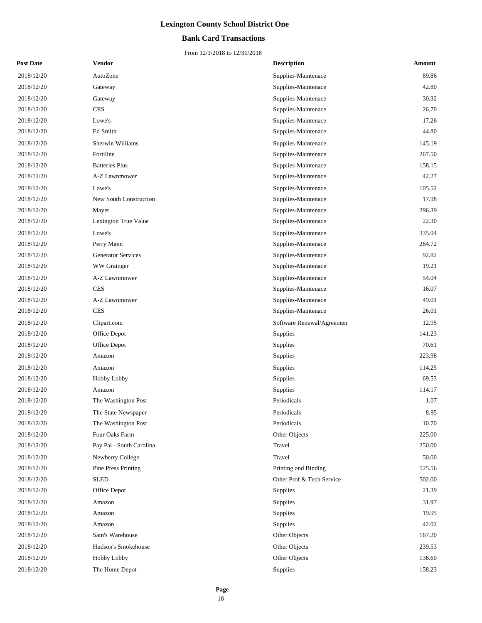## **Bank Card Transactions**

| <b>Post Date</b> | <b>Vendor</b>              | <b>Description</b>        | Amount |
|------------------|----------------------------|---------------------------|--------|
| 2018/12/20       | AutoZone                   | Supplies-Maintenace       | 89.86  |
| 2018/12/20       | Gateway                    | Supplies-Maintenace       | 42.80  |
| 2018/12/20       | Gateway                    | Supplies-Maintenace       | 30.32  |
| 2018/12/20       | <b>CES</b>                 | Supplies-Maintenace       | 26.70  |
| 2018/12/20       | Lowe's                     | Supplies-Maintenace       | 17.26  |
| 2018/12/20       | Ed Smith                   | Supplies-Maintenace       | 44.80  |
| 2018/12/20       | Sherwin Williams           | Supplies-Maintenace       | 145.19 |
| 2018/12/20       | Fortiline                  | Supplies-Maintenace       | 267.50 |
| 2018/12/20       | <b>Batteries Plus</b>      | Supplies-Maintenace       | 158.15 |
| 2018/12/20       | A-Z Lawnmower              | Supplies-Maintenace       | 42.27  |
| 2018/12/20       | Lowe's                     | Supplies-Maintenace       | 105.52 |
| 2018/12/20       | New South Construction     | Supplies-Maintenace       | 17.98  |
| 2018/12/20       | Mayer                      | Supplies-Maintenace       | 296.39 |
| 2018/12/20       | Lexington True Value       | Supplies-Maintenace       | 22.30  |
| 2018/12/20       | Lowe's                     | Supplies-Maintenace       | 335.04 |
| 2018/12/20       | Perry Mann                 | Supplies-Maintenace       | 264.72 |
| 2018/12/20       | <b>Generator Services</b>  | Supplies-Maintenace       | 92.82  |
| 2018/12/20       | WW Grainger                | Supplies-Maintenace       | 19.21  |
| 2018/12/20       | A-Z Lawnmower              | Supplies-Maintenace       | 54.04  |
| 2018/12/20       | <b>CES</b>                 | Supplies-Maintenace       | 16.07  |
| 2018/12/20       | A-Z Lawnmower              | Supplies-Maintenace       | 49.01  |
| 2018/12/20       | <b>CES</b>                 | Supplies-Maintenace       | 26.01  |
| 2018/12/20       | Clipart.com                | Software Renewal/Agreemen | 12.95  |
| 2018/12/20       | Office Depot               | Supplies                  | 141.23 |
| 2018/12/20       | Office Depot               | Supplies                  | 70.61  |
| 2018/12/20       | Amazon                     | Supplies                  | 223.98 |
| 2018/12/20       | Amazon                     | Supplies                  | 114.25 |
| 2018/12/20       | Hobby Lobby                | Supplies                  | 69.53  |
| 2018/12/20       | Amazon                     | Supplies                  | 114.17 |
| 2018/12/20       | The Washington Post        | Periodicals               | 1.07   |
| 2018/12/20       | The State Newspaper        | Periodicals               | 8.95   |
| 2018/12/20       | The Washington Post        | Periodicals               | 10.70  |
| 2018/12/20       | Four Oaks Farm             | Other Objects             | 225.00 |
| 2018/12/20       | Pay Pal - South Carolina   | Travel                    | 250.00 |
| 2018/12/20       | Newberry College           | Travel                    | 50.00  |
| 2018/12/20       | <b>Pine Press Printing</b> | Printing and Binding      | 525.56 |
| 2018/12/20       | <b>SLED</b>                | Other Prof & Tech Service | 502.00 |
| 2018/12/20       | Office Depot               | Supplies                  | 21.39  |
| 2018/12/20       | Amazon                     | Supplies                  | 31.97  |
| 2018/12/20       | Amazon                     | Supplies                  | 19.95  |
| 2018/12/20       | Amazon                     | Supplies                  | 42.02  |
| 2018/12/20       | Sam's Warehouse            | Other Objects             | 167.20 |
| 2018/12/20       | Hudson's Smokehouse        | Other Objects             | 239.53 |
| 2018/12/20       | Hobby Lobby                | Other Objects             | 136.60 |
| 2018/12/20       | The Home Depot             | Supplies                  | 158.23 |
|                  |                            |                           |        |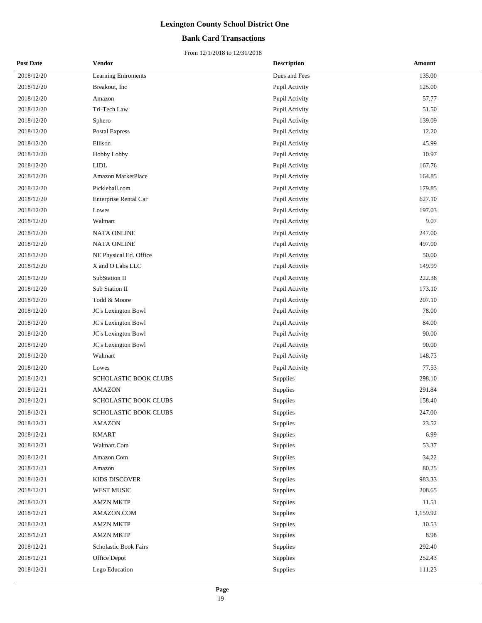## **Bank Card Transactions**

| <b>Post Date</b> | <b>Vendor</b>          | <b>Description</b> | <b>Amount</b> |
|------------------|------------------------|--------------------|---------------|
| 2018/12/20       | Learning Eniroments    | Dues and Fees      | 135.00        |
| 2018/12/20       | Breakout, Inc          | Pupil Activity     | 125.00        |
| 2018/12/20       | Amazon                 | Pupil Activity     | 57.77         |
| 2018/12/20       | Tri-Tech Law           | Pupil Activity     | 51.50         |
| 2018/12/20       | Sphero                 | Pupil Activity     | 139.09        |
| 2018/12/20       | <b>Postal Express</b>  | Pupil Activity     | 12.20         |
| 2018/12/20       | Ellison                | Pupil Activity     | 45.99         |
| 2018/12/20       | Hobby Lobby            | Pupil Activity     | 10.97         |
| 2018/12/20       | <b>LIDL</b>            | Pupil Activity     | 167.76        |
| 2018/12/20       | Amazon MarketPlace     | Pupil Activity     | 164.85        |
| 2018/12/20       | Pickleball.com         | Pupil Activity     | 179.85        |
| 2018/12/20       | Enterprise Rental Car  | Pupil Activity     | 627.10        |
| 2018/12/20       | Lowes                  | Pupil Activity     | 197.03        |
| 2018/12/20       | Walmart                | Pupil Activity     | 9.07          |
| 2018/12/20       | <b>NATA ONLINE</b>     | Pupil Activity     | 247.00        |
| 2018/12/20       | <b>NATA ONLINE</b>     | Pupil Activity     | 497.00        |
| 2018/12/20       | NE Physical Ed. Office | Pupil Activity     | 50.00         |
| 2018/12/20       | X and O Labs LLC       | Pupil Activity     | 149.99        |
| 2018/12/20       | SubStation II          | Pupil Activity     | 222.36        |
| 2018/12/20       | Sub Station II         | Pupil Activity     | 173.10        |
| 2018/12/20       | Todd & Moore           | Pupil Activity     | 207.10        |
| 2018/12/20       | JC's Lexington Bowl    | Pupil Activity     | 78.00         |
| 2018/12/20       | JC's Lexington Bowl    | Pupil Activity     | 84.00         |
| 2018/12/20       | JC's Lexington Bowl    | Pupil Activity     | 90.00         |
| 2018/12/20       | JC's Lexington Bowl    | Pupil Activity     | 90.00         |
| 2018/12/20       | Walmart                | Pupil Activity     | 148.73        |
| 2018/12/20       | Lowes                  | Pupil Activity     | 77.53         |
| 2018/12/21       | SCHOLASTIC BOOK CLUBS  | Supplies           | 298.10        |
| 2018/12/21       | <b>AMAZON</b>          | Supplies           | 291.84        |
| 2018/12/21       | SCHOLASTIC BOOK CLUBS  | Supplies           | 158.40        |
| 2018/12/21       | SCHOLASTIC BOOK CLUBS  | Supplies           | 247.00        |
| 2018/12/21       | <b>AMAZON</b>          | Supplies           | 23.52         |
| 2018/12/21       | <b>KMART</b>           | Supplies           | 6.99          |
| 2018/12/21       | Walmart.Com            | Supplies           | 53.37         |
| 2018/12/21       | Amazon.Com             | Supplies           | 34.22         |
| 2018/12/21       | Amazon                 | Supplies           | 80.25         |
| 2018/12/21       | KIDS DISCOVER          | Supplies           | 983.33        |
| 2018/12/21       | WEST MUSIC             | Supplies           | 208.65        |
| 2018/12/21       | <b>AMZN MKTP</b>       | Supplies           | 11.51         |
| 2018/12/21       | AMAZON.COM             | Supplies           | 1,159.92      |
| 2018/12/21       | <b>AMZN MKTP</b>       | Supplies           | 10.53         |
| 2018/12/21       | <b>AMZN MKTP</b>       | Supplies           | 8.98          |
| 2018/12/21       | Scholastic Book Fairs  | Supplies           | 292.40        |
| 2018/12/21       | Office Depot           | Supplies           | 252.43        |
| 2018/12/21       | Lego Education         | Supplies           | 111.23        |
|                  |                        |                    |               |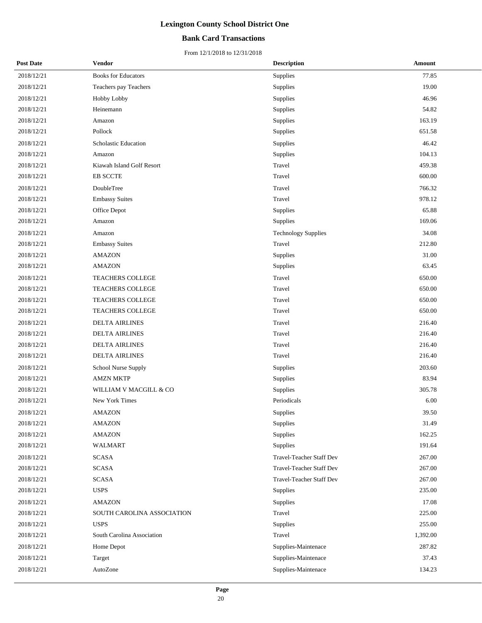## **Bank Card Transactions**

| <b>Post Date</b> | <b>Vendor</b>              | <b>Description</b>         | <b>Amount</b> |
|------------------|----------------------------|----------------------------|---------------|
| 2018/12/21       | <b>Books for Educators</b> | Supplies                   | 77.85         |
| 2018/12/21       | Teachers pay Teachers      | Supplies                   | 19.00         |
| 2018/12/21       | Hobby Lobby                | Supplies                   | 46.96         |
| 2018/12/21       | Heinemann                  | Supplies                   | 54.82         |
| 2018/12/21       | Amazon                     | Supplies                   | 163.19        |
| 2018/12/21       | Pollock                    | Supplies                   | 651.58        |
| 2018/12/21       | Scholastic Education       | Supplies                   | 46.42         |
| 2018/12/21       | Amazon                     | Supplies                   | 104.13        |
| 2018/12/21       | Kiawah Island Golf Resort  | Travel                     | 459.38        |
| 2018/12/21       | <b>EB SCCTE</b>            | Travel                     | 600.00        |
| 2018/12/21       | DoubleTree                 | Travel                     | 766.32        |
| 2018/12/21       | <b>Embassy Suites</b>      | Travel                     | 978.12        |
| 2018/12/21       | Office Depot               | Supplies                   | 65.88         |
| 2018/12/21       | Amazon                     | Supplies                   | 169.06        |
| 2018/12/21       | Amazon                     | <b>Technology Supplies</b> | 34.08         |
| 2018/12/21       | <b>Embassy Suites</b>      | Travel                     | 212.80        |
| 2018/12/21       | <b>AMAZON</b>              | Supplies                   | 31.00         |
| 2018/12/21       | <b>AMAZON</b>              | Supplies                   | 63.45         |
| 2018/12/21       | TEACHERS COLLEGE           | Travel                     | 650.00        |
| 2018/12/21       | <b>TEACHERS COLLEGE</b>    | Travel                     | 650.00        |
| 2018/12/21       | TEACHERS COLLEGE           | Travel                     | 650.00        |
| 2018/12/21       | TEACHERS COLLEGE           | Travel                     | 650.00        |
| 2018/12/21       | <b>DELTA AIRLINES</b>      | Travel                     | 216.40        |
| 2018/12/21       | <b>DELTA AIRLINES</b>      | Travel                     | 216.40        |
| 2018/12/21       | <b>DELTA AIRLINES</b>      | Travel                     | 216.40        |
| 2018/12/21       | <b>DELTA AIRLINES</b>      | Travel                     | 216.40        |
| 2018/12/21       | School Nurse Supply        | Supplies                   | 203.60        |
| 2018/12/21       | <b>AMZN MKTP</b>           | Supplies                   | 83.94         |
| 2018/12/21       | WILLIAM V MACGILL & CO     | Supplies                   | 305.78        |
| 2018/12/21       | New York Times             | Periodicals                | 6.00          |
| 2018/12/21       | AMAZON                     | Supplies                   | 39.50         |
| 2018/12/21       | <b>AMAZON</b>              | Supplies                   | 31.49         |
| 2018/12/21       | <b>AMAZON</b>              | Supplies                   | 162.25        |
| 2018/12/21       | WALMART                    | Supplies                   | 191.64        |
| 2018/12/21       | <b>SCASA</b>               | Travel-Teacher Staff Dev   | 267.00        |
| 2018/12/21       | <b>SCASA</b>               | Travel-Teacher Staff Dev   | 267.00        |
| 2018/12/21       | <b>SCASA</b>               | Travel-Teacher Staff Dev   | 267.00        |
| 2018/12/21       | <b>USPS</b>                | Supplies                   | 235.00        |
| 2018/12/21       | <b>AMAZON</b>              | Supplies                   | 17.08         |
| 2018/12/21       | SOUTH CAROLINA ASSOCIATION | Travel                     | 225.00        |
| 2018/12/21       | <b>USPS</b>                | Supplies                   | 255.00        |
| 2018/12/21       | South Carolina Association | Travel                     | 1,392.00      |
| 2018/12/21       | Home Depot                 | Supplies-Maintenace        | 287.82        |
| 2018/12/21       | Target                     | Supplies-Maintenace        | 37.43         |
| 2018/12/21       | AutoZone                   | Supplies-Maintenace        | 134.23        |
|                  |                            |                            |               |